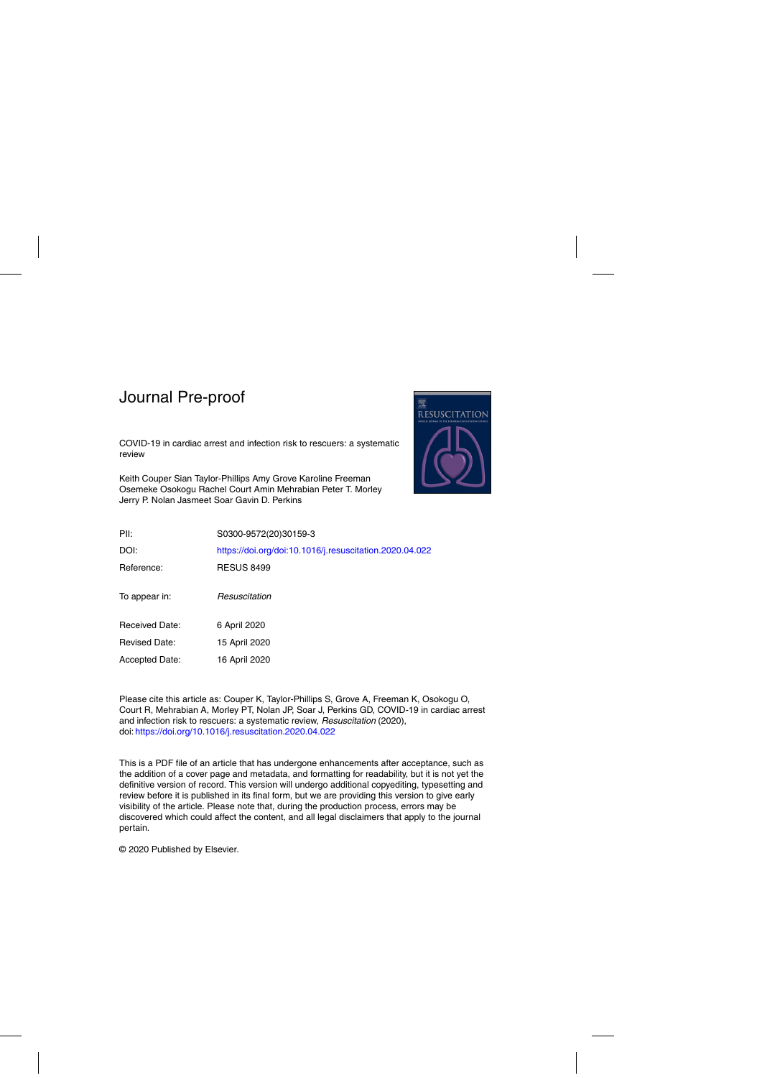COVID-19 in cardiac arrest and infection risk to rescuers: a systematic review

Keith Couper Sian Taylor-Phillips Amy Grove Karoline Freeman Osemeke Osokogu Rachel Court Amin Mehrabian Peter T. Morley Jerry P. Nolan Jasmeet Soar Gavin D. Perkins



| PII:                  | S0300-9572(20)30159-3                                   |
|-----------------------|---------------------------------------------------------|
| DOI:                  | https://doi.org/doi:10.1016/j.resuscitation.2020.04.022 |
| Reference:            | <b>RESUS 8499</b>                                       |
| To appear in:         | Resuscitation                                           |
| <b>Received Date:</b> | 6 April 2020                                            |
| <b>Revised Date:</b>  | 15 April 2020                                           |
| Accepted Date:        | 16 April 2020                                           |

Please cite this article as: Couper K, Taylor-Phillips S, Grove A, Freeman K, Osokogu O, Court R, Mehrabian A, Morley PT, Nolan JP, Soar J, Perkins GD, COVID-19 in cardiac arrest and infection risk to rescuers: a systematic review, Resuscitation (2020), doi: <https://doi.org/10.1016/j.resuscitation.2020.04.022>

This is a PDF file of an article that has undergone enhancements after acceptance, such as the addition of a cover page and metadata, and formatting for readability, but it is not yet the definitive version of record. This version will undergo additional copyediting, typesetting and review before it is published in its final form, but we are providing this version to give early visibility of the article. Please note that, during the production process, errors may be discovered which could affect the content, and all legal disclaimers that apply to the journal pertain.

© 2020 Published by Elsevier.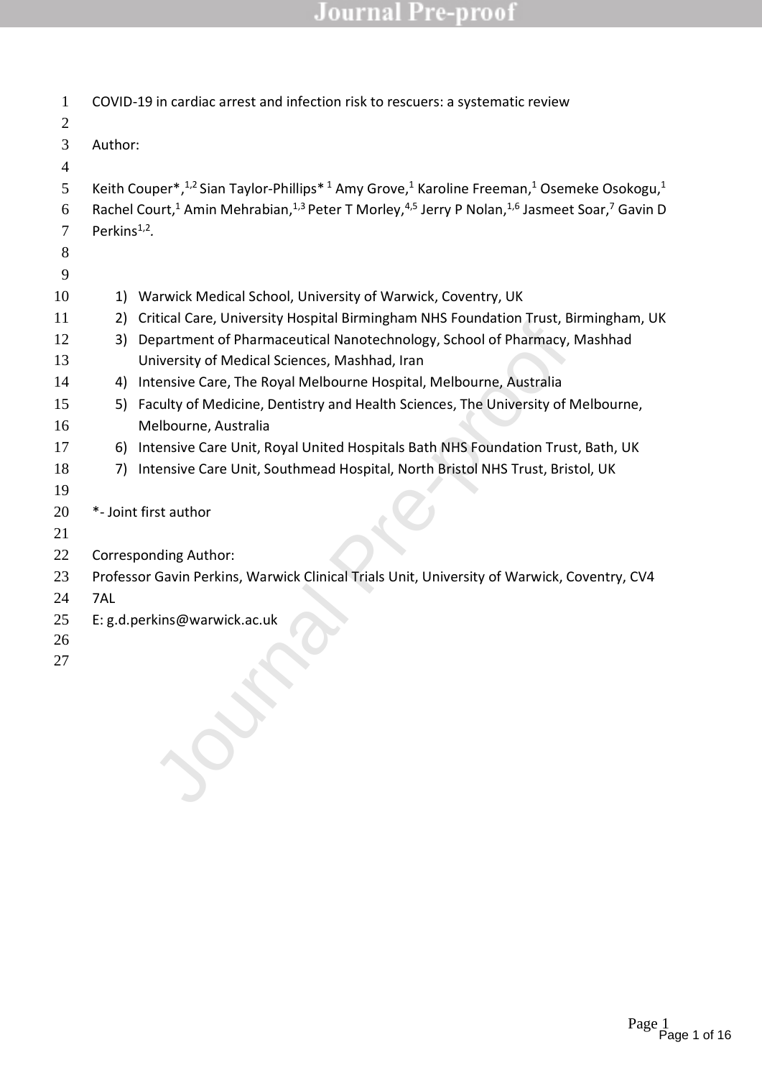| $\mathbf{1}$<br>$\overline{c}$ |                          | COVID-19 in cardiac arrest and infection risk to rescuers: a systematic review                                                                            |
|--------------------------------|--------------------------|-----------------------------------------------------------------------------------------------------------------------------------------------------------|
| 3                              | Author:                  |                                                                                                                                                           |
| 4                              |                          |                                                                                                                                                           |
| 5                              |                          | Keith Couper*, <sup>1,2</sup> Sian Taylor-Phillips* <sup>1</sup> Amy Grove, <sup>1</sup> Karoline Freeman, <sup>1</sup> Osemeke Osokogu, <sup>1</sup>     |
| 6                              |                          | Rachel Court, <sup>1</sup> Amin Mehrabian, <sup>1,3</sup> Peter T Morley, <sup>4,5</sup> Jerry P Nolan, <sup>1,6</sup> Jasmeet Soar, <sup>7</sup> Gavin D |
| 7                              | Perkins <sup>1,2</sup> . |                                                                                                                                                           |
| 8                              |                          |                                                                                                                                                           |
| 9                              |                          |                                                                                                                                                           |
| 10                             | 1)                       | Warwick Medical School, University of Warwick, Coventry, UK                                                                                               |
| 11                             | 2)                       | Critical Care, University Hospital Birmingham NHS Foundation Trust, Birmingham, UK                                                                        |
| 12<br>13                       | 3)                       | Department of Pharmaceutical Nanotechnology, School of Pharmacy, Mashhad<br>University of Medical Sciences, Mashhad, Iran                                 |
| 14                             | 4)                       | Intensive Care, The Royal Melbourne Hospital, Melbourne, Australia                                                                                        |
| 15                             | 5)                       | Faculty of Medicine, Dentistry and Health Sciences, The University of Melbourne,                                                                          |
| 16                             |                          | Melbourne, Australia                                                                                                                                      |
| 17                             | 6)                       | Intensive Care Unit, Royal United Hospitals Bath NHS Foundation Trust, Bath, UK                                                                           |
| 18                             | 7)                       | Intensive Care Unit, Southmead Hospital, North Bristol NHS Trust, Bristol, UK                                                                             |
| 19                             |                          |                                                                                                                                                           |
| 20                             |                          | *- Joint first author                                                                                                                                     |
| 21                             |                          |                                                                                                                                                           |
| 22                             |                          | <b>Corresponding Author:</b>                                                                                                                              |
| 23                             |                          | Professor Gavin Perkins, Warwick Clinical Trials Unit, University of Warwick, Coventry, CV4                                                               |
| 24                             | 7AL                      |                                                                                                                                                           |
| 25                             |                          | E: g.d.perkins@warwick.ac.uk                                                                                                                              |
| 26                             |                          |                                                                                                                                                           |
| 27                             |                          |                                                                                                                                                           |
|                                |                          |                                                                                                                                                           |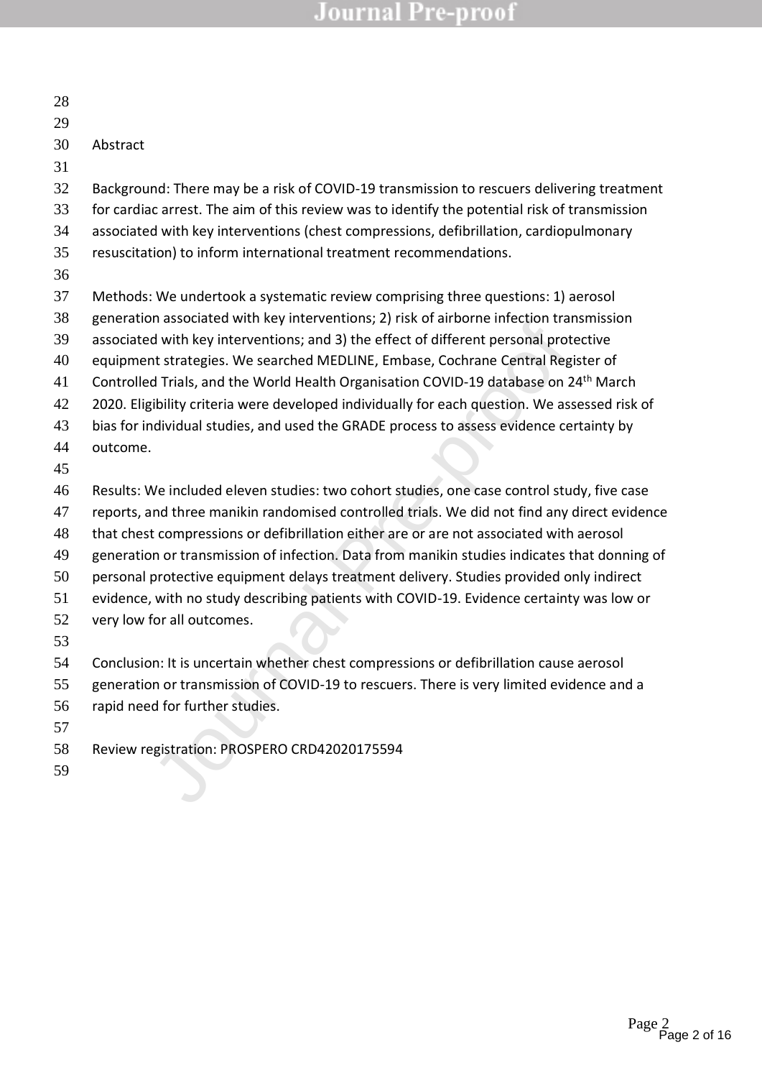| 28 |                                                                                                  |
|----|--------------------------------------------------------------------------------------------------|
| 29 |                                                                                                  |
| 30 | Abstract                                                                                         |
| 31 |                                                                                                  |
| 32 | Background: There may be a risk of COVID-19 transmission to rescuers delivering treatment        |
| 33 | for cardiac arrest. The aim of this review was to identify the potential risk of transmission    |
| 34 | associated with key interventions (chest compressions, defibrillation, cardiopulmonary           |
| 35 | resuscitation) to inform international treatment recommendations.                                |
| 36 |                                                                                                  |
| 37 | Methods: We undertook a systematic review comprising three questions: 1) aerosol                 |
| 38 | generation associated with key interventions; 2) risk of airborne infection transmission         |
| 39 | associated with key interventions; and 3) the effect of different personal protective            |
| 40 | equipment strategies. We searched MEDLINE, Embase, Cochrane Central Register of                  |
| 41 | Controlled Trials, and the World Health Organisation COVID-19 database on 24 <sup>th</sup> March |
| 42 | 2020. Eligibility criteria were developed individually for each question. We assessed risk of    |
| 43 | bias for individual studies, and used the GRADE process to assess evidence certainty by          |
| 44 | outcome.                                                                                         |
| 45 |                                                                                                  |
| 46 | Results: We included eleven studies: two cohort studies, one case control study, five case       |
| 47 | reports, and three manikin randomised controlled trials. We did not find any direct evidence     |
| 48 | that chest compressions or defibrillation either are or are not associated with aerosol          |
| 49 | generation or transmission of infection. Data from manikin studies indicates that donning of     |
| 50 | personal protective equipment delays treatment delivery. Studies provided only indirect          |
| 51 | evidence, with no study describing patients with COVID-19. Evidence certainty was low or         |
| 52 | very low for all outcomes.                                                                       |
| 53 |                                                                                                  |
| 54 | Conclusion: It is uncertain whether chest compressions or defibrillation cause aerosol           |
| 55 | generation or transmission of COVID-19 to rescuers. There is very limited evidence and a         |
| 56 | rapid need for further studies.                                                                  |
| 57 |                                                                                                  |
| 58 | Review registration: PROSPERO CRD42020175594                                                     |
| 59 |                                                                                                  |
|    |                                                                                                  |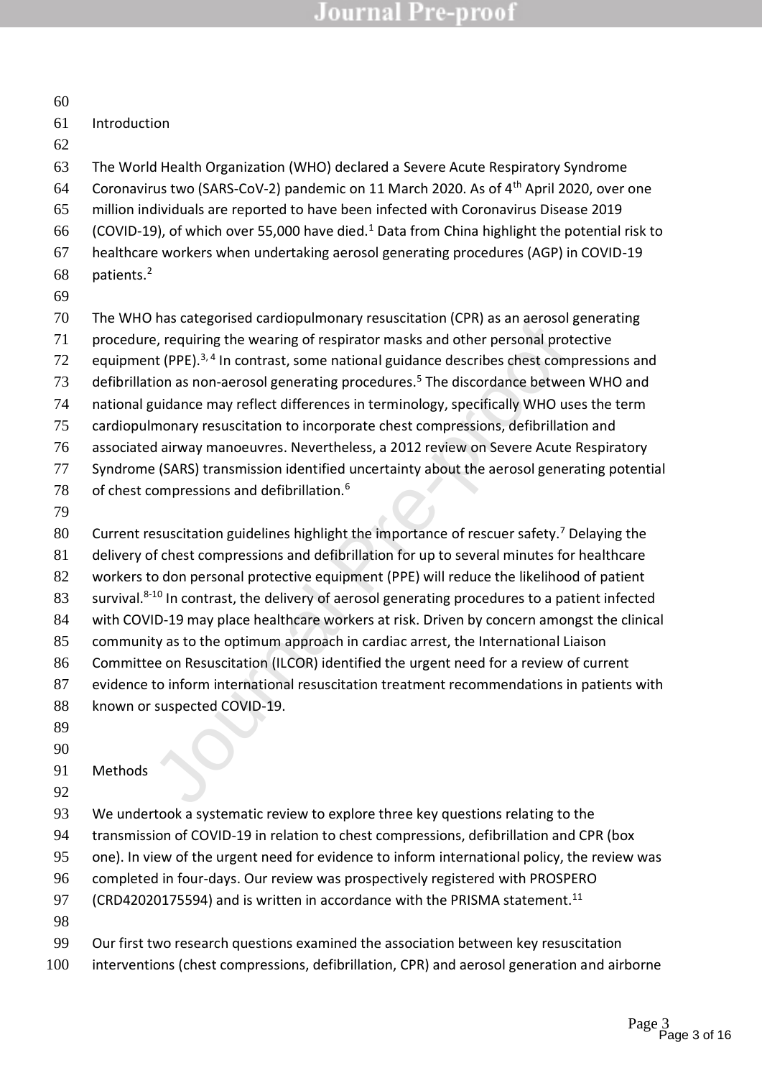| 60       |                                                                                                                                                                              |
|----------|------------------------------------------------------------------------------------------------------------------------------------------------------------------------------|
| 61       | Introduction                                                                                                                                                                 |
| 62       |                                                                                                                                                                              |
| 63       | The World Health Organization (WHO) declared a Severe Acute Respiratory Syndrome                                                                                             |
| 64       | Coronavirus two (SARS-CoV-2) pandemic on 11 March 2020. As of 4 <sup>th</sup> April 2020, over one                                                                           |
| 65       | million individuals are reported to have been infected with Coronavirus Disease 2019                                                                                         |
| 66       | (COVID-19), of which over 55,000 have died. <sup>1</sup> Data from China highlight the potential risk to                                                                     |
| 67       | healthcare workers when undertaking aerosol generating procedures (AGP) in COVID-19                                                                                          |
| 68       | patients. <sup>2</sup>                                                                                                                                                       |
| 69       |                                                                                                                                                                              |
| 70       | The WHO has categorised cardiopulmonary resuscitation (CPR) as an aerosol generating                                                                                         |
| 71       | procedure, requiring the wearing of respirator masks and other personal protective                                                                                           |
| 72       | equipment (PPE). <sup>3,4</sup> In contrast, some national guidance describes chest compressions and                                                                         |
| 73       | defibrillation as non-aerosol generating procedures. <sup>5</sup> The discordance between WHO and                                                                            |
| 74       | national guidance may reflect differences in terminology, specifically WHO uses the term                                                                                     |
| 75       | cardiopulmonary resuscitation to incorporate chest compressions, defibrillation and<br>associated airway manoeuvres. Nevertheless, a 2012 review on Severe Acute Respiratory |
| 76<br>77 | Syndrome (SARS) transmission identified uncertainty about the aerosol generating potential                                                                                   |
| 78       | of chest compressions and defibrillation. <sup>6</sup>                                                                                                                       |
| 79       |                                                                                                                                                                              |
| 80       | Current resuscitation guidelines highlight the importance of rescuer safety. <sup>7</sup> Delaying the                                                                       |
| 81       | delivery of chest compressions and defibrillation for up to several minutes for healthcare                                                                                   |
| 82       | workers to don personal protective equipment (PPE) will reduce the likelihood of patient                                                                                     |
| 83       | survival. <sup>8-10</sup> In contrast, the delivery of aerosol generating procedures to a patient infected                                                                   |
| 84       | with COVID-19 may place healthcare workers at risk. Driven by concern amongst the clinical                                                                                   |
| 85       | community as to the optimum approach in cardiac arrest, the International Liaison                                                                                            |
| 86       | Committee on Resuscitation (ILCOR) identified the urgent need for a review of current                                                                                        |
| 87       | evidence to inform international resuscitation treatment recommendations in patients with                                                                                    |
| 88       | known or suspected COVID-19.                                                                                                                                                 |
| 89       |                                                                                                                                                                              |
| 90       |                                                                                                                                                                              |
| 91       | Methods                                                                                                                                                                      |
| 92       |                                                                                                                                                                              |
| 93       | We undertook a systematic review to explore three key questions relating to the                                                                                              |
| 94       | transmission of COVID-19 in relation to chest compressions, defibrillation and CPR (box                                                                                      |
| 95       | one). In view of the urgent need for evidence to inform international policy, the review was                                                                                 |
| 96<br>97 | completed in four-days. Our review was prospectively registered with PROSPERO<br>(CRD42020175594) and is written in accordance with the PRISMA statement. <sup>11</sup>      |
| 98       |                                                                                                                                                                              |
| 99       | Our first two research questions examined the association between key resuscitation                                                                                          |
|          |                                                                                                                                                                              |

interventions (chest compressions, defibrillation, CPR) and aerosol generation and airborne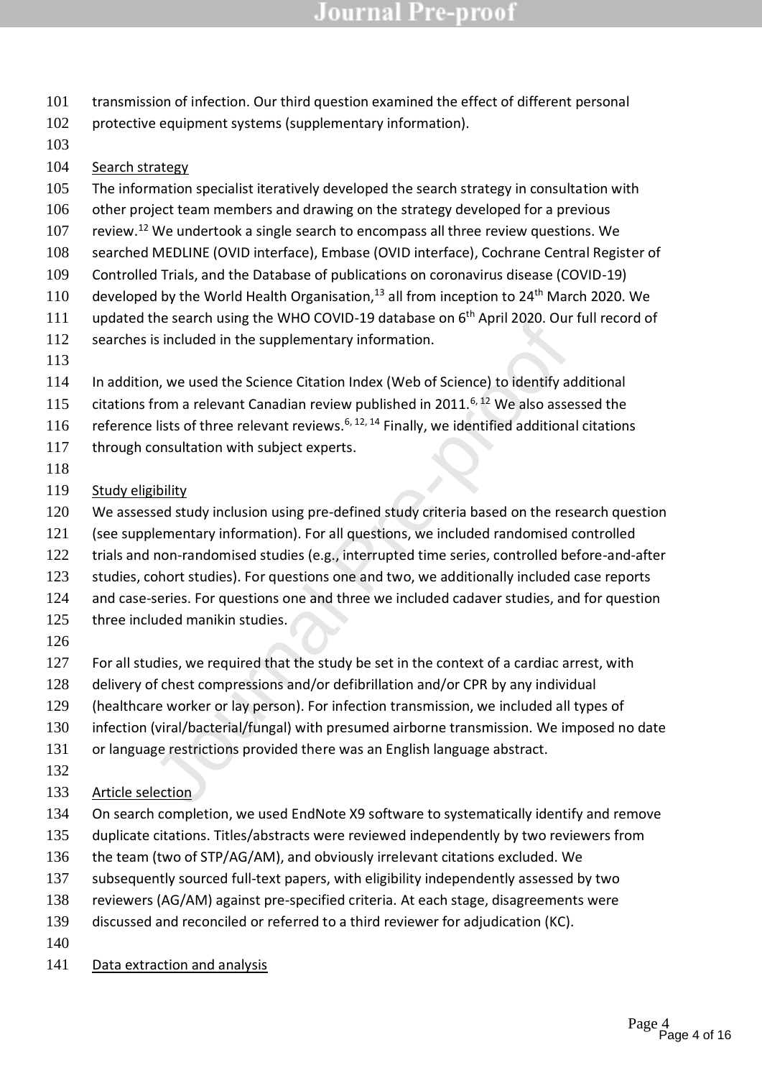- transmission of infection. Our third question examined the effect of different personal
- protective equipment systems (supplementary information).
- 
- Search strategy
- 105 The information specialist iteratively developed the search strategy in consultation with
- other project team members and drawing on the strategy developed for a previous
- 107 review.<sup>12</sup> We undertook a single search to encompass all three review questions. We
- searched MEDLINE (OVID interface), Embase (OVID interface), Cochrane Central Register of
- Controlled Trials, and the Database of publications on coronavirus disease (COVID-19)
- 110 developed by the World Health Organisation,<sup>13</sup> all from inception to 24<sup>th</sup> March 2020. We
- 111 updated the search using the WHO COVID-19 database on 6<sup>th</sup> April 2020. Our full record of
- searches is included in the supplementary information.
- 
- In addition, we used the Science Citation Index (Web of Science) to identify additional
- 115 citations from a relevant Canadian review published in 2011.<sup>6, 12</sup> We also assessed the
- 116 reference lists of three relevant reviews.<sup>6, 12, 14</sup> Finally, we identified additional citations
- 117 through consultation with subject experts.
- 
- Study eligibility
- We assessed study inclusion using pre-defined study criteria based on the research question
- Included in the superbentary information.<br>
Is included in the supplementary information.<br>
Is included in the supplementary information.<br>
In the Science Citation Index (Web of Science) to identify ad<br>
from a relevant Canadi (see supplementary information). For all questions, we included randomised controlled
- trials and non-randomised studies (e.g., interrupted time series, controlled before-and-after
- 123 studies, cohort studies). For questions one and two, we additionally included case reports
- 124 and case-series. For questions one and three we included cadaver studies, and for question
- 125 three included manikin studies.
- 
- 127 For all studies, we required that the study be set in the context of a cardiac arrest, with
- delivery of chest compressions and/or defibrillation and/or CPR by any individual
- (healthcare worker or lay person). For infection transmission, we included all types of
- infection (viral/bacterial/fungal) with presumed airborne transmission. We imposed no date
- or language restrictions provided there was an English language abstract.
- 
- Article selection
- On search completion, we used EndNote X9 software to systematically identify and remove
- duplicate citations. Titles/abstracts were reviewed independently by two reviewers from
- the team (two of STP/AG/AM), and obviously irrelevant citations excluded. We
- subsequently sourced full-text papers, with eligibility independently assessed by two
- reviewers (AG/AM) against pre-specified criteria. At each stage, disagreements were
- discussed and reconciled or referred to a third reviewer for adjudication (KC).
- 
- Data extraction and analysis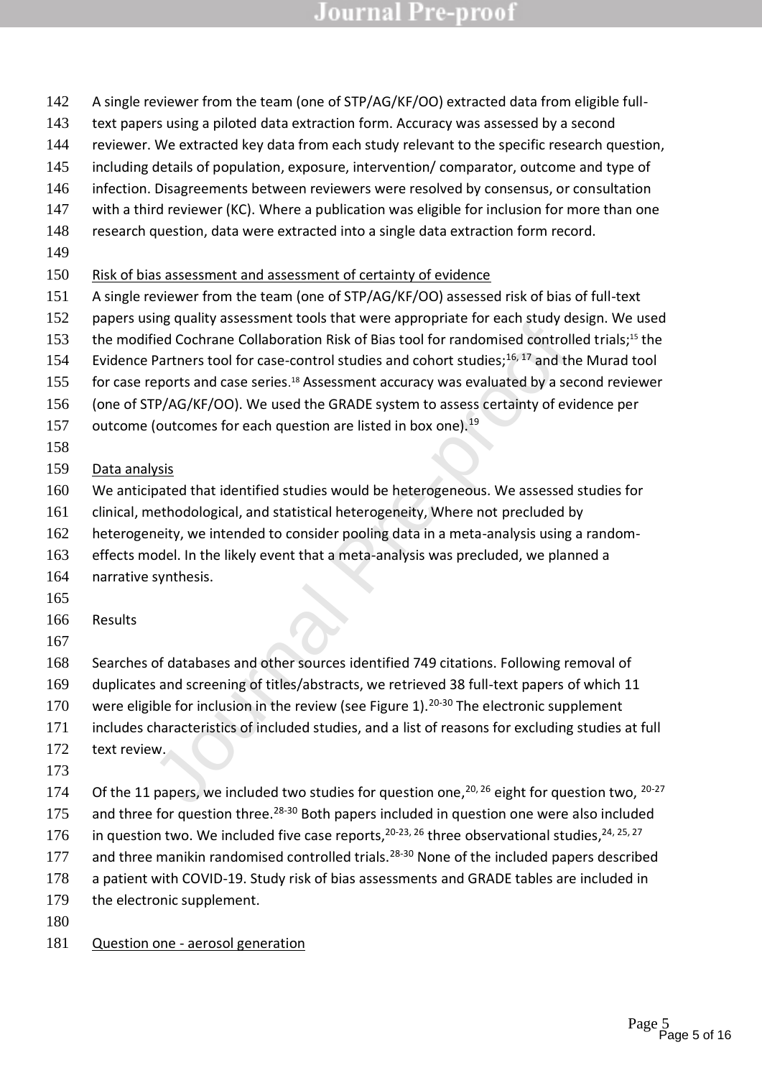- A single reviewer from the team (one of STP/AG/KF/OO) extracted data from eligible full-
- text papers using a piloted data extraction form. Accuracy was assessed by a second
- reviewer. We extracted key data from each study relevant to the specific research question,
- including details of population, exposure, intervention/ comparator, outcome and type of
- infection. Disagreements between reviewers were resolved by consensus, or consultation
- with a third reviewer (KC). Where a publication was eligible for inclusion for more than one
- research question, data were extracted into a single data extraction form record.
- 
- Risk of bias assessment and assessment of certainty of evidence
- A single reviewer from the team (one of STP/AG/KF/OO) assessed risk of bias of full-text
- 152 papers using quality assessment tools that were appropriate for each study design. We used
- 153 the modified Cochrane Collaboration Risk of Bias tool for randomised controlled trials;<sup>15</sup> the
- 154 Evidence Partners tool for case-control studies and cohort studies; $^{16, 17}$  and the Murad tool
- 155 for case reports and case series.<sup>18</sup> Assessment accuracy was evaluated by a second reviewer
- (one of STP/AG/KF/OO). We used the GRADE system to assess certainty of evidence per
- 157 outcome (outcomes for each question are listed in box one).<sup>19</sup>
- 
- Data analysis
- We anticipated that identified studies would be heterogeneous. We assessed studies for
- clinical, methodological, and statistical heterogeneity, Where not precluded by
- heterogeneity, we intended to consider pooling data in a meta-analysis using a random-
- effects model. In the likely event that a meta-analysis was precluded, we planned a
- narrative synthesis.
- 
- Results
- 
- In the Colorane Collaboration Risk of Bias tool for randomised controlle<br>fied Cochrane Collaboration Risk of Bias tool for randomised controlle<br>Partners tool for case-control studies and cohort studies;<sup>16,17</sup> and the<br>por Searches of databases and other sources identified 749 citations. Following removal of
- duplicates and screening of titles/abstracts, we retrieved 38 full-text papers of which 11
- 170 were eligible for inclusion in the review (see Figure 1).<sup>20-30</sup> The electronic supplement
- includes characteristics of included studies, and a list of reasons for excluding studies at full
- 172 text review.
- 
- 174 Of the 11 papers, we included two studies for question one,  $20, 26$  eight for question two,  $20-27$
- 175 and three for question three.<sup>28-30</sup> Both papers included in question one were also included
- 176 in question two. We included five case reports,  $20-23$ ,  $26$  three observational studies,  $24$ ,  $25$ ,  $27$
- 177 and three manikin randomised controlled trials.<sup>28-30</sup> None of the included papers described
- a patient with COVID-19. Study risk of bias assessments and GRADE tables are included in
- 179 the electronic supplement.
- 
- Question one aerosol generation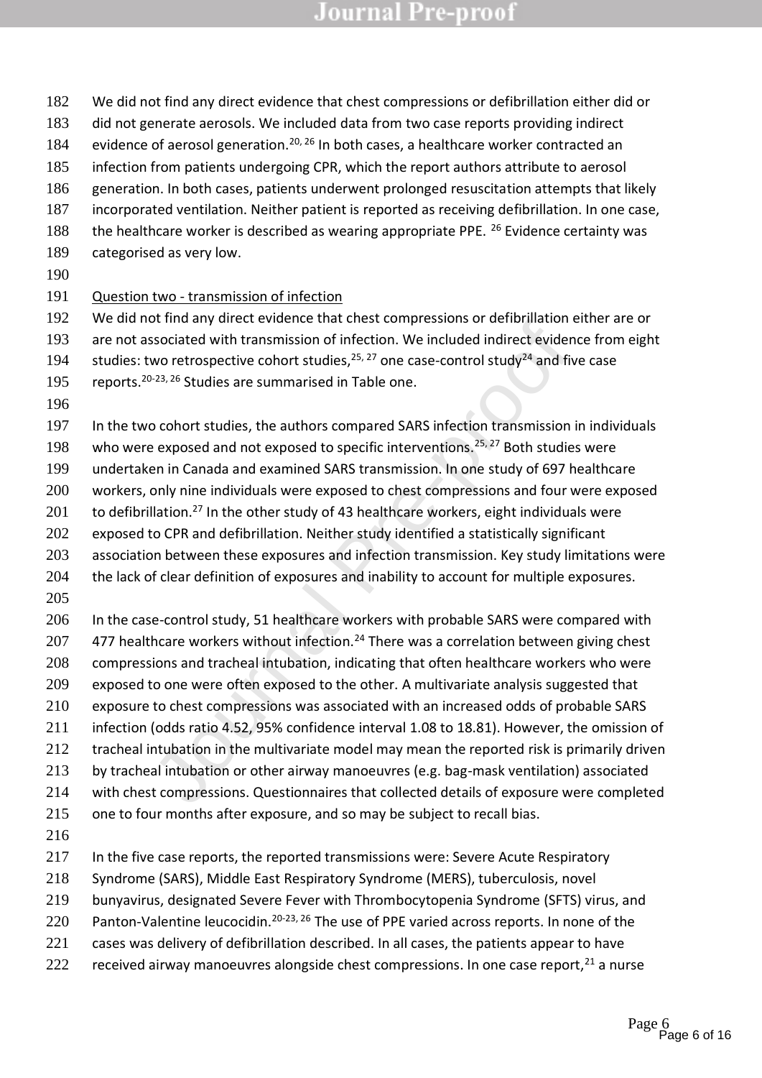- We did not find any direct evidence that chest compressions or defibrillation either did or
- did not generate aerosols. We included data from two case reports providing indirect
- 184 evidence of aerosol generation.<sup>20, 26</sup> In both cases, a healthcare worker contracted an
- infection from patients undergoing CPR, which the report authors attribute to aerosol
- generation. In both cases, patients underwent prolonged resuscitation attempts that likely incorporated ventilation. Neither patient is reported as receiving defibrillation. In one case,
- 188 the healthcare worker is described as wearing appropriate PPE. Evidence certainty was
- categorised as very low.
- 

#### Question two - transmission of infection

- We did not find any direct evidence that chest compressions or defibrillation either are or
- are not associated with transmission of infection. We included indirect evidence from eight
- 194 studies: two retrospective cohort studies,  $25, 27$  one case-control study<sup>24</sup> and five case
- 195 reports.<sup>20-23, 26</sup> Studies are summarised in Table one.
- 
- In the two cohort studies, the authors compared SARS infection transmission in individuals
- 198 who were exposed and not exposed to specific interventions.<sup>25, 27</sup> Both studies were
- undertaken in Canada and examined SARS transmission. In one study of 697 healthcare
- workers, only nine individuals were exposed to chest compressions and four were exposed
- 201 to defibrillation.<sup>27</sup> In the other study of 43 healthcare workers, eight individuals were
- exposed to CPR and defibrillation. Neither study identified a statistically significant
- 203 association between these exposures and infection transmission. Key study limitations were
- 204 the lack of clear definition of exposures and inability to account for multiple exposures.
- or in any unece vence terest contents can create complessions of oreninmation essociated with transmission of infection. We included indirect evident wove retrospective cohort studies,  $25, 27$  one case-control study<sup>24</sup> a 206 In the case-control study, 51 healthcare workers with probable SARS were compared with 207  $-$  477 healthcare workers without infection.<sup>24</sup> There was a correlation between giving chest compressions and tracheal intubation, indicating that often healthcare workers who were exposed to one were often exposed to the other. A multivariate analysis suggested that
- exposure to chest compressions was associated with an increased odds of probable SARS
- infection (odds ratio 4.52, 95% confidence interval 1.08 to 18.81). However, the omission of
- 212 tracheal intubation in the multivariate model may mean the reported risk is primarily driven
- by tracheal intubation or other airway manoeuvres (e.g. bag-mask ventilation) associated
- with chest compressions. Questionnaires that collected details of exposure were completed
- one to four months after exposure, and so may be subject to recall bias.
- 
- 217 In the five case reports, the reported transmissions were: Severe Acute Respiratory
- Syndrome (SARS), Middle East Respiratory Syndrome (MERS), tuberculosis, novel
- bunyavirus, designated Severe Fever with Thrombocytopenia Syndrome (SFTS) virus, and
- 220 Panton-Valentine leucocidin.<sup>20-23, 26</sup> The use of PPE varied across reports. In none of the
- 221 cases was delivery of defibrillation described. In all cases, the patients appear to have
- 222 received airway manoeuvres alongside chest compressions. In one case report, a nurse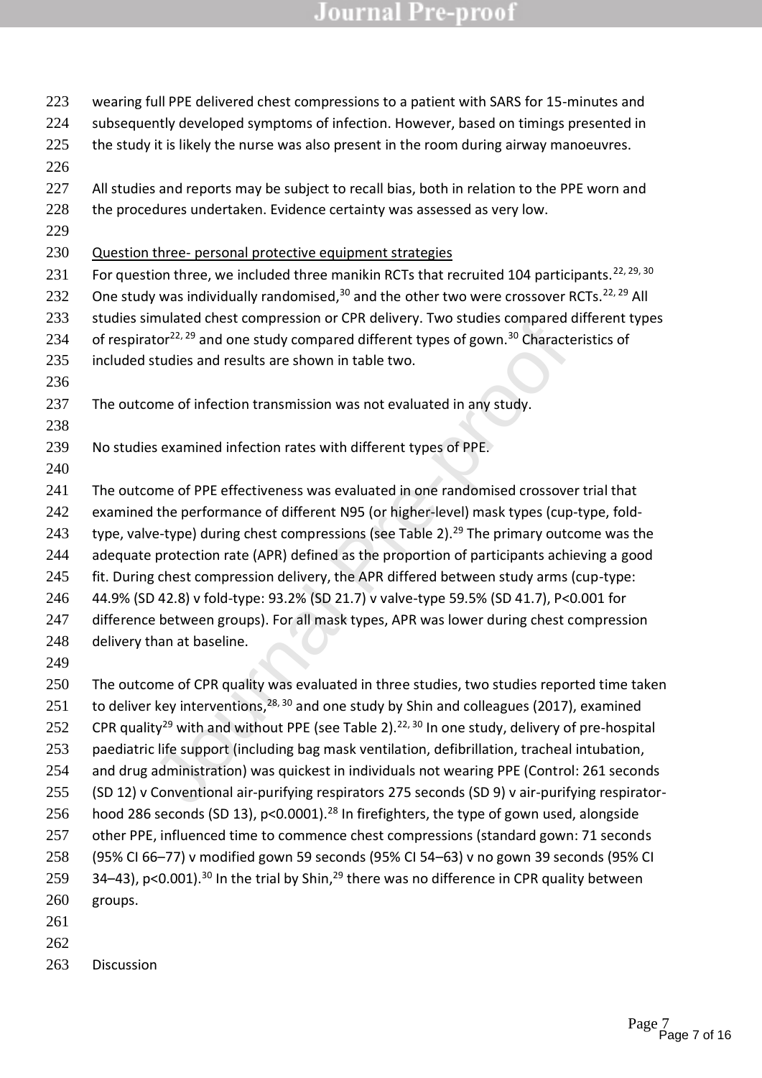mundeu chest compression or critic active, Theorem, Theorem is a done study compared inter-<br>tor<sup>22, 29</sup> and one study compared different types of gown.<sup>30</sup> Charactel<br>studies and results are shown in table two.<br>Dome of inf 225 the study it is likely the nurse was also present in the room during airway manoeuvres. 226 227 All studies and reports may be subject to recall bias, both in relation to the PPE worn and 228 the procedures undertaken. Evidence certainty was assessed as very low. 229 230 Question three- personal protective equipment strategies 231 For question three, we included three manikin RCTs that recruited 104 participants.<sup>22, 29, 30</sup> 232 One study was individually randomised, $30$  and the other two were crossover RCTs. $^{22, 29}$  All 233 studies simulated chest compression or CPR delivery. Two studies compared different types 234 of respirator<sup>22, 29</sup> and one study compared different types of gown.<sup>30</sup> Characteristics of 235 included studies and results are shown in table two. 236 237 The outcome of infection transmission was not evaluated in any study. 238 239 No studies examined infection rates with different types of PPE. 240 241 The outcome of PPE effectiveness was evaluated in one randomised crossover trial that 242 examined the performance of different N95 (or higher-level) mask types (cup-type, fold-243 type, valve-type) during chest compressions (see Table 2).<sup>29</sup> The primary outcome was the 244 adequate protection rate (APR) defined as the proportion of participants achieving a good

223 wearing full PPE delivered chest compressions to a patient with SARS for 15-minutes and 224 subsequently developed symptoms of infection. However, based on timings presented in

- 245 fit. During chest compression delivery, the APR differed between study arms (cup-type: 246 44.9% (SD 42.8) v fold-type: 93.2% (SD 21.7) v valve-type 59.5% (SD 41.7), P<0.001 for
- 247 difference between groups). For all mask types, APR was lower during chest compression
- 248 delivery than at baseline.
- 249

263 Discussion

250 The outcome of CPR quality was evaluated in three studies, two studies reported time taken 251 to deliver key interventions,  $28, 30$  and one study by Shin and colleagues (2017), examined 252 CPR quality<sup>29</sup> with and without PPE (see Table 2).<sup>22, 30</sup> In one study, delivery of pre-hospital 253 paediatric life support (including bag mask ventilation, defibrillation, tracheal intubation, 254 and drug administration) was quickest in individuals not wearing PPE (Control: 261 seconds 255 (SD 12) v Conventional air-purifying respirators 275 seconds (SD 9) v air-purifying respirator-256 hood 286 seconds (SD 13), p<0.0001).<sup>28</sup> In firefighters, the type of gown used, alongside 257 other PPE, influenced time to commence chest compressions (standard gown: 71 seconds 258 (95% CI 66–77) v modified gown 59 seconds (95% CI 54–63) v no gown 39 seconds (95% CI 259  $34-43$ ), p<0.001).<sup>30</sup> In the trial by Shin,<sup>29</sup> there was no difference in CPR quality between 260 groups. 261 262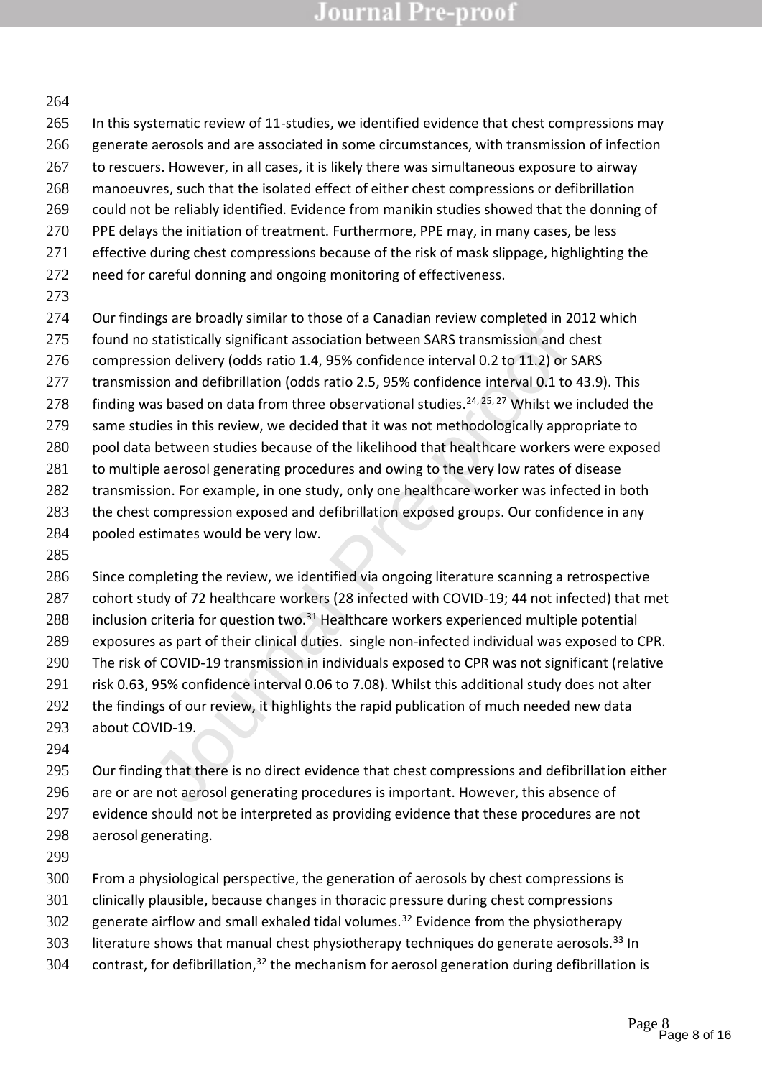#### 

265 In this systematic review of 11-studies, we identified evidence that chest compressions may generate aerosols and are associated in some circumstances, with transmission of infection 267 to rescuers. However, in all cases, it is likely there was simultaneous exposure to airway manoeuvres, such that the isolated effect of either chest compressions or defibrillation 269 could not be reliably identified. Evidence from manikin studies showed that the donning of PPE delays the initiation of treatment. Furthermore, PPE may, in many cases, be less 271 effective during chest compressions because of the risk of mask slippage, highlighting the need for careful donning and ongoing monitoring of effectiveness.

Our findings are broadly similar to those of a Canadian review completed in 2012 which

- found no statistically significant association between SARS transmission and chest
- compression delivery (odds ratio 1.4, 95% confidence interval 0.2 to 11.2) or SARS
- transmission and defibrillation (odds ratio 2.5, 95% confidence interval 0.1 to 43.9). This
- 278 finding was based on data from three observational studies.<sup>24, 25, 27</sup> Whilst we included the
- same studies in this review, we decided that it was not methodologically appropriate to
- 280 pool data between studies because of the likelihood that healthcare workers were exposed
- to multiple aerosol generating procedures and owing to the very low rates of disease
- 282 transmission. For example, in one study, only one healthcare worker was infected in both
- 283 the chest compression exposed and defibrillation exposed groups. Our confidence in any
- pooled estimates would be very low.
- 

igs are unouty suminar to touse or a canonative relation between SARS transmission and chion delivery (odds ratio 1.4, 95% confidence interval 0.2 to 11.2) or S.<br>Statistically significant association between SARS transmiss 286 Since completing the review, we identified via ongoing literature scanning a retrospective cohort study of 72 healthcare workers (28 infected with COVID-19; 44 not infected) that met 288 inclusion criteria for question two. $31$  Healthcare workers experienced multiple potential exposures as part of their clinical duties. single non-infected individual was exposed to CPR. The risk of COVID-19 transmission in individuals exposed to CPR was not significant (relative risk 0.63, 95% confidence interval 0.06 to 7.08). Whilst this additional study does not alter 292 the findings of our review, it highlights the rapid publication of much needed new data about COVID-19.

295 Our finding that there is no direct evidence that chest compressions and defibrillation either are or are not aerosol generating procedures is important. However, this absence of evidence should not be interpreted as providing evidence that these procedures are not aerosol generating.

From a physiological perspective, the generation of aerosols by chest compressions is

- clinically plausible, because changes in thoracic pressure during chest compressions
- generate airflow and small exhaled tidal volumes.<sup>32</sup> Evidence from the physiotherapy
- 303 literature shows that manual chest physiotherapy techniques do generate aerosols.<sup>33</sup> In
- 304 contrast, for defibrillation, the mechanism for aerosol generation during defibrillation is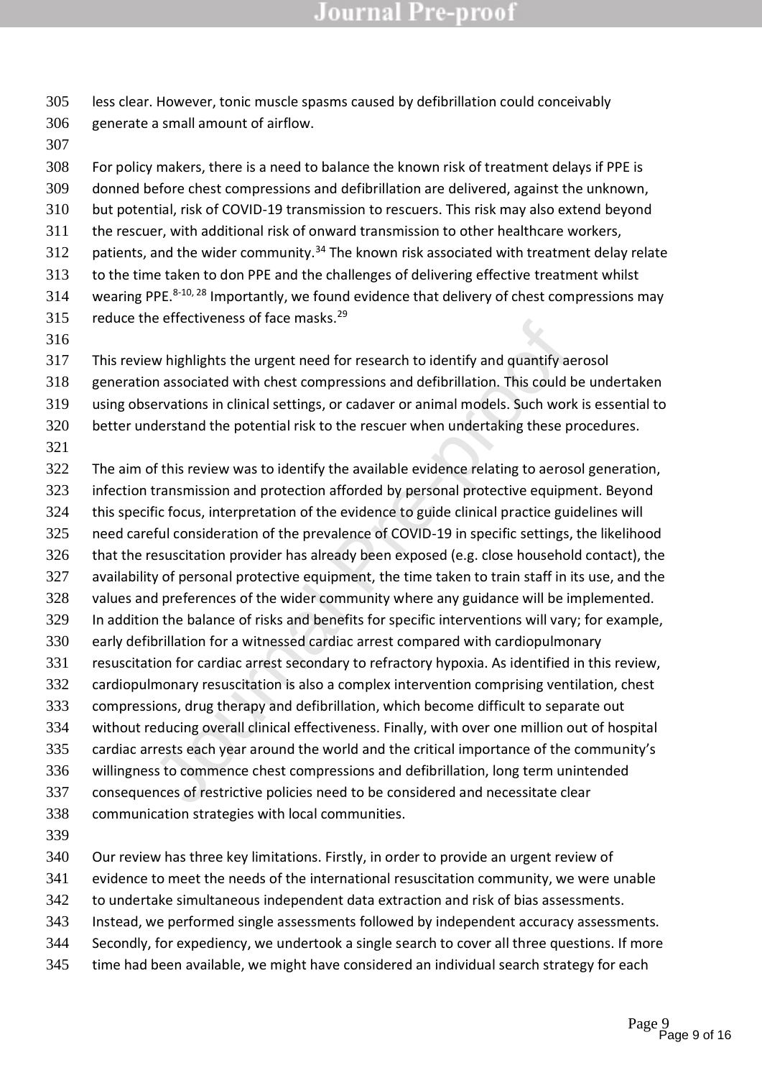less clear. However, tonic muscle spasms caused by defibrillation could conceivably generate a small amount of airflow.

 For policy makers, there is a need to balance the known risk of treatment delays if PPE is donned before chest compressions and defibrillation are delivered, against the unknown, but potential, risk of COVID-19 transmission to rescuers. This risk may also extend beyond the rescuer, with additional risk of onward transmission to other healthcare workers, 312 patients, and the wider community.<sup>34</sup> The known risk associated with treatment delay relate to the time taken to don PPE and the challenges of delivering effective treatment whilst 314 wearing PPE. $8-10$ ,  $28$  Importantly, we found evidence that delivery of chest compressions may 315 reduce the effectiveness of face masks.

- This review highlights the urgent need for research to identify and quantify aerosol
- generation associated with chest compressions and defibrillation. This could be undertaken
- Evaluation and the complement of the complement of the complement of the system and the compressions and defibrillation. This could be revartions in clinical settings, or cadaver or animal models. Such work derstand the po using observations in clinical settings, or cadaver or animal models. Such work is essential to
- better understand the potential risk to the rescuer when undertaking these procedures.
- 

The aim of this review was to identify the available evidence relating to aerosol generation,

- infection transmission and protection afforded by personal protective equipment. Beyond
- this specific focus, interpretation of the evidence to guide clinical practice guidelines will
- need careful consideration of the prevalence of COVID-19 in specific settings, the likelihood
- that the resuscitation provider has already been exposed (e.g. close household contact), the
- availability of personal protective equipment, the time taken to train staff in its use, and the values and preferences of the wider community where any guidance will be implemented.
- In addition the balance of risks and benefits for specific interventions will vary; for example,
- early defibrillation for a witnessed cardiac arrest compared with cardiopulmonary
- resuscitation for cardiac arrest secondary to refractory hypoxia. As identified in this review,
- 332 cardiopulmonary resuscitation is also a complex intervention comprising ventilation, chest
- compressions, drug therapy and defibrillation, which become difficult to separate out
- without reducing overall clinical effectiveness. Finally, with over one million out of hospital
- cardiac arrests each year around the world and the critical importance of the community's
- willingness to commence chest compressions and defibrillation, long term unintended
- consequences of restrictive policies need to be considered and necessitate clear
- communication strategies with local communities.
- 
- Our review has three key limitations. Firstly, in order to provide an urgent review of
- evidence to meet the needs of the international resuscitation community, we were unable
- to undertake simultaneous independent data extraction and risk of bias assessments.
- Instead, we performed single assessments followed by independent accuracy assessments.
- Secondly, for expediency, we undertook a single search to cover all three questions. If more
- time had been available, we might have considered an individual search strategy for each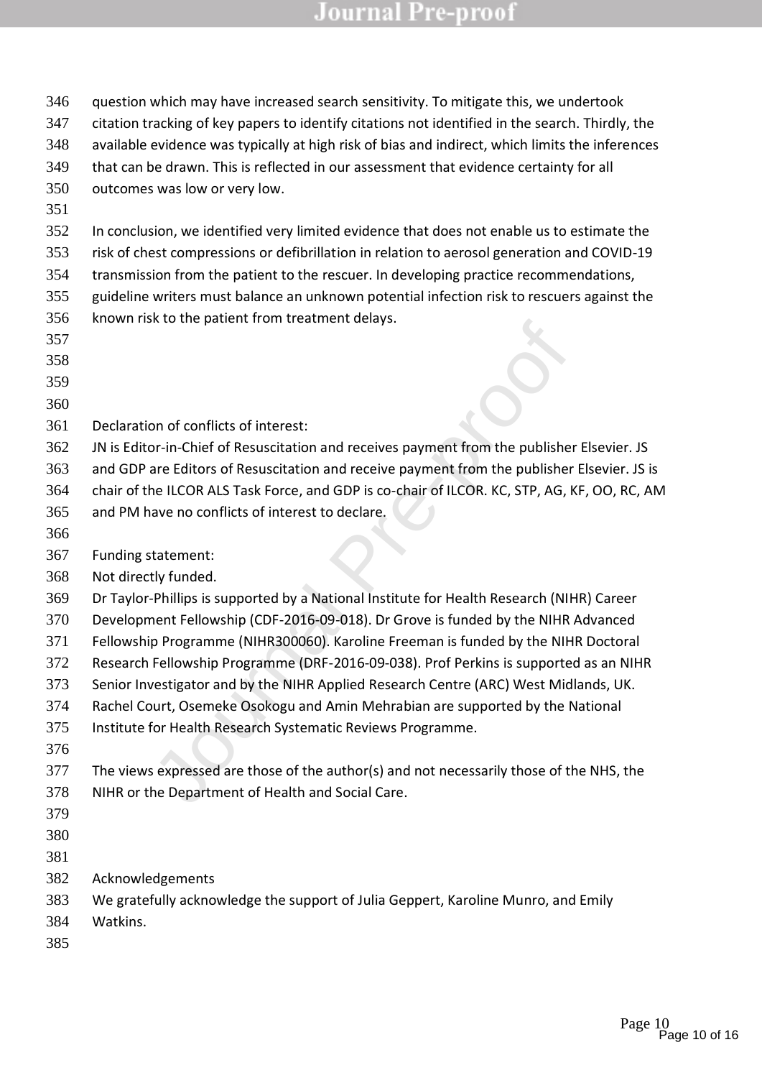| 346 | question which may have increased search sensitivity. To mitigate this, we undertook             |
|-----|--------------------------------------------------------------------------------------------------|
| 347 | citation tracking of key papers to identify citations not identified in the search. Thirdly, the |
| 348 | available evidence was typically at high risk of bias and indirect, which limits the inferences  |
| 349 | that can be drawn. This is reflected in our assessment that evidence certainty for all           |
| 350 | outcomes was low or very low.                                                                    |
| 351 |                                                                                                  |
| 352 | In conclusion, we identified very limited evidence that does not enable us to estimate the       |
| 353 | risk of chest compressions or defibrillation in relation to aerosol generation and COVID-19      |
| 354 | transmission from the patient to the rescuer. In developing practice recommendations,            |
| 355 | guideline writers must balance an unknown potential infection risk to rescuers against the       |
| 356 | known risk to the patient from treatment delays.                                                 |
| 357 |                                                                                                  |
| 358 |                                                                                                  |
| 359 |                                                                                                  |
| 360 |                                                                                                  |
| 361 | Declaration of conflicts of interest:                                                            |
| 362 | JN is Editor-in-Chief of Resuscitation and receives payment from the publisher Elsevier. JS      |
| 363 | and GDP are Editors of Resuscitation and receive payment from the publisher Elsevier. JS is      |
| 364 | chair of the ILCOR ALS Task Force, and GDP is co-chair of ILCOR. KC, STP, AG, KF, OO, RC, AM     |
| 365 | and PM have no conflicts of interest to declare.                                                 |
| 366 |                                                                                                  |
| 367 | Funding statement:                                                                               |
| 368 | Not directly funded.                                                                             |
| 369 | Dr Taylor-Phillips is supported by a National Institute for Health Research (NIHR) Career        |
| 370 | Development Fellowship (CDF-2016-09-018). Dr Grove is funded by the NIHR Advanced                |
| 371 | Fellowship Programme (NIHR300060). Karoline Freeman is funded by the NIHR Doctoral               |
| 372 | Research Fellowship Programme (DRF-2016-09-038). Prof Perkins is supported as an NIHR            |
| 373 | Senior Investigator and by the NIHR Applied Research Centre (ARC) West Midlands, UK.             |
| 374 | Rachel Court, Osemeke Osokogu and Amin Mehrabian are supported by the National                   |
| 375 | Institute for Health Research Systematic Reviews Programme.                                      |
| 376 |                                                                                                  |
| 377 | The views expressed are those of the author(s) and not necessarily those of the NHS, the         |
| 378 | NIHR or the Department of Health and Social Care.                                                |
| 379 |                                                                                                  |
| 380 |                                                                                                  |
| 381 |                                                                                                  |
| 382 | Acknowledgements                                                                                 |
| 383 | We gratefully acknowledge the support of Julia Geppert, Karoline Munro, and Emily                |
| 384 | Watkins.                                                                                         |
| 385 |                                                                                                  |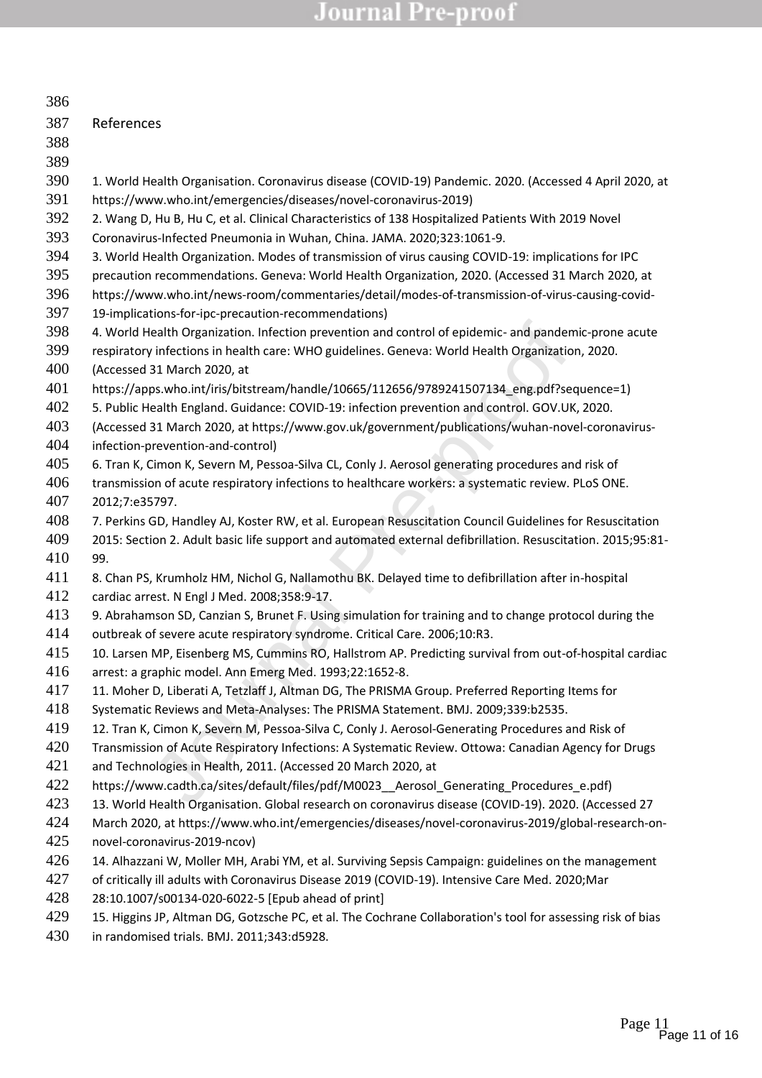| 386 |                                                                                                             |
|-----|-------------------------------------------------------------------------------------------------------------|
| 387 | References                                                                                                  |
| 388 |                                                                                                             |
| 389 |                                                                                                             |
| 390 | 1. World Health Organisation. Coronavirus disease (COVID-19) Pandemic. 2020. (Accessed 4 April 2020, at     |
| 391 | https://www.who.int/emergencies/diseases/novel-coronavirus-2019)                                            |
| 392 | 2. Wang D, Hu B, Hu C, et al. Clinical Characteristics of 138 Hospitalized Patients With 2019 Novel         |
| 393 | Coronavirus-Infected Pneumonia in Wuhan, China. JAMA. 2020;323:1061-9.                                      |
| 394 | 3. World Health Organization. Modes of transmission of virus causing COVID-19: implications for IPC         |
| 395 | precaution recommendations. Geneva: World Health Organization, 2020. (Accessed 31 March 2020, at            |
| 396 | https://www.who.int/news-room/commentaries/detail/modes-of-transmission-of-virus-causing-covid-             |
| 397 | 19-implications-for-ipc-precaution-recommendations)                                                         |
| 398 | 4. World Health Organization. Infection prevention and control of epidemic- and pandemic-prone acute        |
| 399 | respiratory infections in health care: WHO guidelines. Geneva: World Health Organization, 2020.             |
| 400 | (Accessed 31 March 2020, at                                                                                 |
| 401 | https://apps.who.int/iris/bitstream/handle/10665/112656/9789241507134 eng.pdf?sequence=1)                   |
| 402 | 5. Public Health England. Guidance: COVID-19: infection prevention and control. GOV.UK, 2020.               |
| 403 | (Accessed 31 March 2020, at https://www.gov.uk/government/publications/wuhan-novel-coronavirus-             |
| 404 | infection-prevention-and-control)                                                                           |
| 405 | 6. Tran K, Cimon K, Severn M, Pessoa-Silva CL, Conly J. Aerosol generating procedures and risk of           |
| 406 | transmission of acute respiratory infections to healthcare workers: a systematic review. PLoS ONE.          |
| 407 | 2012;7:e35797.                                                                                              |
| 408 | 7. Perkins GD, Handley AJ, Koster RW, et al. European Resuscitation Council Guidelines for Resuscitation    |
| 409 | 2015: Section 2. Adult basic life support and automated external defibrillation. Resuscitation. 2015;95:81- |
| 410 | 99.                                                                                                         |
| 411 | 8. Chan PS, Krumholz HM, Nichol G, Nallamothu BK. Delayed time to defibrillation after in-hospital          |
| 412 | cardiac arrest. N Engl J Med. 2008;358:9-17.                                                                |
| 413 | 9. Abrahamson SD, Canzian S, Brunet F. Using simulation for training and to change protocol during the      |
| 414 | outbreak of severe acute respiratory syndrome. Critical Care. 2006;10:R3.                                   |
| 415 | 10. Larsen MP, Eisenberg MS, Cummins RO, Hallstrom AP. Predicting survival from out-of-hospital cardiac     |
| 416 | arrest: a graphic model. Ann Emerg Med. 1993;22:1652-8.                                                     |
| 417 | 11. Moher D, Liberati A, Tetzlaff J, Altman DG, The PRISMA Group. Preferred Reporting Items for             |
| 418 | Systematic Reviews and Meta-Analyses: The PRISMA Statement. BMJ. 2009;339:b2535.                            |
| 419 | 12. Tran K, Cimon K, Severn M, Pessoa-Silva C, Conly J. Aerosol-Generating Procedures and Risk of           |
| 420 | Transmission of Acute Respiratory Infections: A Systematic Review. Ottowa: Canadian Agency for Drugs        |
| 421 | and Technologies in Health, 2011. (Accessed 20 March 2020, at                                               |
| 422 | https://www.cadth.ca/sites/default/files/pdf/M0023_Aerosol_Generating_Procedures_e.pdf)                     |
| 423 | 13. World Health Organisation. Global research on coronavirus disease (COVID-19). 2020. (Accessed 27        |
| 424 | March 2020, at https://www.who.int/emergencies/diseases/novel-coronavirus-2019/global-research-on-          |
| 425 | novel-coronavirus-2019-ncov)                                                                                |
| 426 | 14. Alhazzani W, Moller MH, Arabi YM, et al. Surviving Sepsis Campaign: guidelines on the management        |
| 427 | of critically ill adults with Coronavirus Disease 2019 (COVID-19). Intensive Care Med. 2020; Mar            |
| 428 | 28:10.1007/s00134-020-6022-5 [Epub ahead of print]                                                          |
| 429 | 15. Higgins JP, Altman DG, Gotzsche PC, et al. The Cochrane Collaboration's tool for assessing risk of bias |
| 430 | in randomised trials. BMJ. 2011;343:d5928.                                                                  |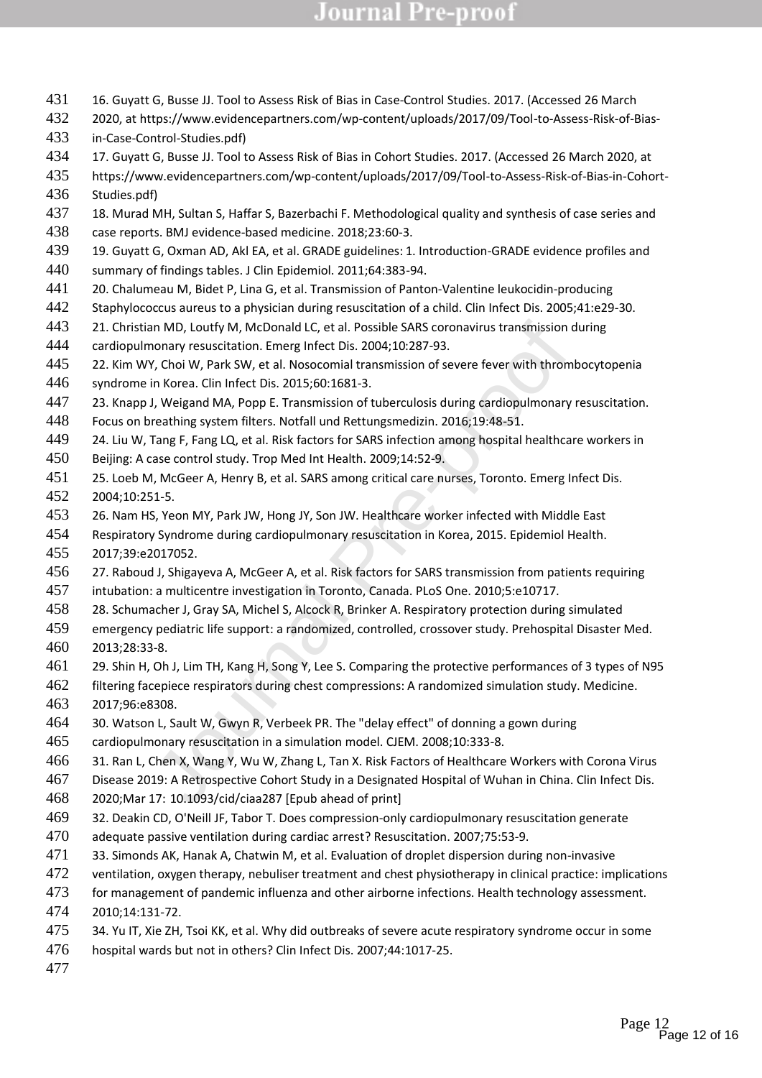- 16. Guyatt G, Busse JJ. Tool to Assess Risk of Bias in Case-Control Studies. 2017. (Accessed 26 March
- 2020, at https://www.evidencepartners.com/wp-content/uploads/2017/09/Tool-to-Assess-Risk-of-Bias-in-Case-Control-Studies.pdf)
- 17. Guyatt G, Busse JJ. Tool to Assess Risk of Bias in Cohort Studies. 2017. (Accessed 26 March 2020, at
- https://www.evidencepartners.com/wp-content/uploads/2017/09/Tool-to-Assess-Risk-of-Bias-in-Cohort-Studies.pdf)
- 437 18. Murad MH, Sultan S, Haffar S, Bazerbachi F. Methodological quality and synthesis of case series and case reports. BMJ evidence-based medicine. 2018;23:60-3.
- 19. Guyatt G, Oxman AD, Akl EA, et al. GRADE guidelines: 1. Introduction-GRADE evidence profiles and summary of findings tables. J Clin Epidemiol. 2011;64:383-94.
- 20. Chalumeau M, Bidet P, Lina G, et al. Transmission of Panton-Valentine leukocidin-producing
- Staphylococcus aureus to a physician during resuscitation of a child. Clin Infect Dis. 2005;41:e29-30.
- 443 21. Christian MD, Loutfy M, McDonald LC, et al. Possible SARS coronavirus transmission during
- cardiopulmonary resuscitation. Emerg Infect Dis. 2004;10:287-93.
- 445 22. Kim WY, Choi W, Park SW, et al. Nosocomial transmission of severe fever with thrombocytopenia syndrome in Korea. Clin Infect Dis. 2015;60:1681-3.
- 23. Knapp J, Weigand MA, Popp E. Transmission of tuberculosis during cardiopulmonary resuscitation.
- Focus on breathing system filters. Notfall und Rettungsmedizin. 2016;19:48-51.
- 449 24. Liu W, Tang F, Fang LQ, et al. Risk factors for SARS infection among hospital healthcare workers in
- Beijing: A case control study. Trop Med Int Health. 2009;14:52-9.
- an MD, Loutfy M, McDonald LC, et al. Possible SARS coronavirus transmission donary resuscitation. Emerg Infect Dis. 2004;10:287-93.<br>
Y, Choi W, Park SW, et al. Nosocomial transmission of severe fever with thromt in Korea. 25. Loeb M, McGeer A, Henry B, et al. SARS among critical care nurses, Toronto. Emerg Infect Dis. 2004;10:251-5.
- 26. Nam HS, Yeon MY, Park JW, Hong JY, Son JW. Healthcare worker infected with Middle East
- Respiratory Syndrome during cardiopulmonary resuscitation in Korea, 2015. Epidemiol Health.
- 2017;39:e2017052.
- 27. Raboud J, Shigayeva A, McGeer A, et al. Risk factors for SARS transmission from patients requiring
- intubation: a multicentre investigation in Toronto, Canada. PLoS One. 2010;5:e10717.
- 28. Schumacher J, Gray SA, Michel S, Alcock R, Brinker A. Respiratory protection during simulated
- emergency pediatric life support: a randomized, controlled, crossover study. Prehospital Disaster Med. 2013;28:33-8.
- 29. Shin H, Oh J, Lim TH, Kang H, Song Y, Lee S. Comparing the protective performances of 3 types of N95
- filtering facepiece respirators during chest compressions: A randomized simulation study. Medicine. 2017;96:e8308.
- 30. Watson L, Sault W, Gwyn R, Verbeek PR. The "delay effect" of donning a gown during
- cardiopulmonary resuscitation in a simulation model. CJEM. 2008;10:333-8.
- 31. Ran L, Chen X, Wang Y, Wu W, Zhang L, Tan X. Risk Factors of Healthcare Workers with Corona Virus
- Disease 2019: A Retrospective Cohort Study in a Designated Hospital of Wuhan in China. Clin Infect Dis.
- 2020;Mar 17: 10.1093/cid/ciaa287 [Epub ahead of print]
- 32. Deakin CD, O'Neill JF, Tabor T. Does compression-only cardiopulmonary resuscitation generate
- adequate passive ventilation during cardiac arrest? Resuscitation. 2007;75:53-9.
- 33. Simonds AK, Hanak A, Chatwin M, et al. Evaluation of droplet dispersion during non-invasive
- 472 ventilation, oxygen therapy, nebuliser treatment and chest physiotherapy in clinical practice: implications
- 473 for management of pandemic influenza and other airborne infections. Health technology assessment.
- 2010;14:131-72.
- 475 34. Yu IT, Xie ZH, Tsoi KK, et al. Why did outbreaks of severe acute respiratory syndrome occur in some
- hospital wards but not in others? Clin Infect Dis. 2007;44:1017-25.
-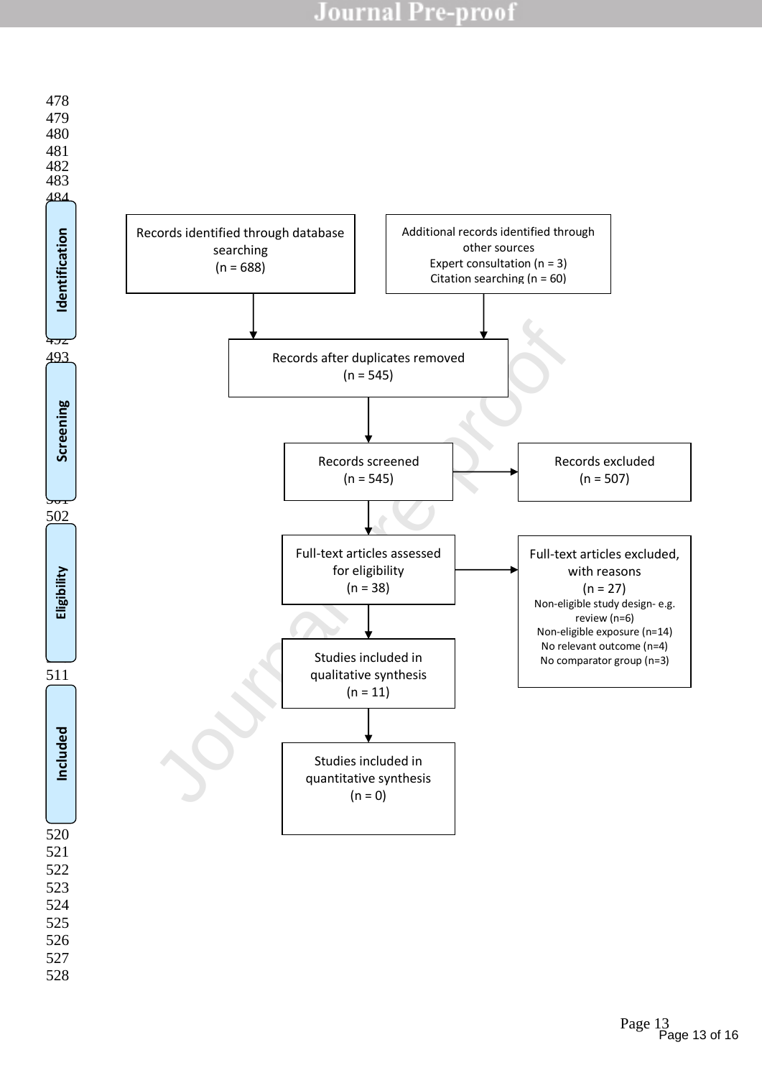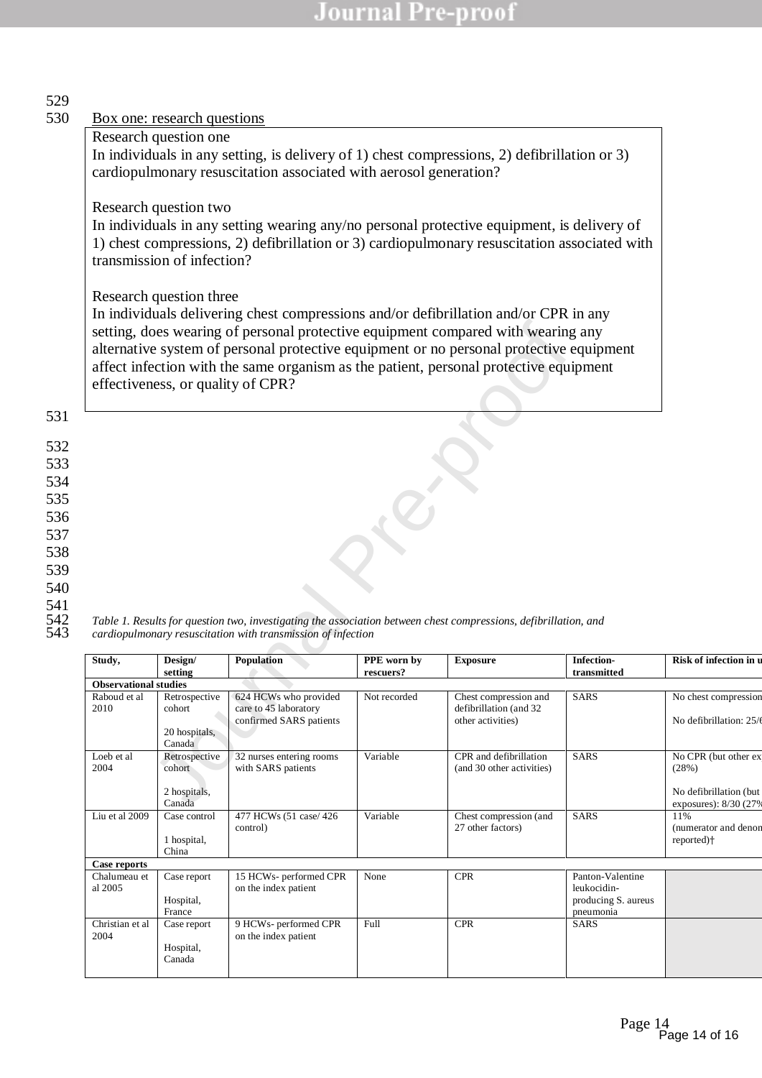| Research question one                                                                        | Box one: research questions                                                                  |                                                                                                                  |              |                                             |                                    |                             |  |  |  |
|----------------------------------------------------------------------------------------------|----------------------------------------------------------------------------------------------|------------------------------------------------------------------------------------------------------------------|--------------|---------------------------------------------|------------------------------------|-----------------------------|--|--|--|
|                                                                                              |                                                                                              |                                                                                                                  |              |                                             |                                    |                             |  |  |  |
|                                                                                              |                                                                                              |                                                                                                                  |              |                                             |                                    |                             |  |  |  |
| In individuals in any setting, is delivery of 1) chest compressions, 2) defibrillation or 3) |                                                                                              |                                                                                                                  |              |                                             |                                    |                             |  |  |  |
|                                                                                              | cardiopulmonary resuscitation associated with aerosol generation?                            |                                                                                                                  |              |                                             |                                    |                             |  |  |  |
|                                                                                              | Research question two                                                                        |                                                                                                                  |              |                                             |                                    |                             |  |  |  |
|                                                                                              | In individuals in any setting wearing any/no personal protective equipment, is delivery of   |                                                                                                                  |              |                                             |                                    |                             |  |  |  |
|                                                                                              | 1) chest compressions, 2) defibrillation or 3) cardiopulmonary resuscitation associated with |                                                                                                                  |              |                                             |                                    |                             |  |  |  |
|                                                                                              | transmission of infection?                                                                   |                                                                                                                  |              |                                             |                                    |                             |  |  |  |
|                                                                                              | Research question three                                                                      |                                                                                                                  |              |                                             |                                    |                             |  |  |  |
|                                                                                              |                                                                                              | In individuals delivering chest compressions and/or defibrillation and/or CPR in any                             |              |                                             |                                    |                             |  |  |  |
|                                                                                              |                                                                                              | setting, does wearing of personal protective equipment compared with wearing any                                 |              |                                             |                                    |                             |  |  |  |
|                                                                                              |                                                                                              | alternative system of personal protective equipment or no personal protective equipment                          |              |                                             |                                    |                             |  |  |  |
|                                                                                              |                                                                                              | affect infection with the same organism as the patient, personal protective equipment                            |              |                                             |                                    |                             |  |  |  |
|                                                                                              | effectiveness, or quality of CPR?                                                            |                                                                                                                  |              |                                             |                                    |                             |  |  |  |
|                                                                                              |                                                                                              |                                                                                                                  |              |                                             |                                    |                             |  |  |  |
|                                                                                              |                                                                                              |                                                                                                                  |              |                                             |                                    |                             |  |  |  |
|                                                                                              |                                                                                              |                                                                                                                  |              |                                             |                                    |                             |  |  |  |
|                                                                                              |                                                                                              |                                                                                                                  |              |                                             |                                    |                             |  |  |  |
|                                                                                              |                                                                                              |                                                                                                                  |              |                                             |                                    |                             |  |  |  |
|                                                                                              |                                                                                              |                                                                                                                  |              |                                             |                                    |                             |  |  |  |
|                                                                                              |                                                                                              |                                                                                                                  |              |                                             |                                    |                             |  |  |  |
|                                                                                              |                                                                                              |                                                                                                                  |              |                                             |                                    |                             |  |  |  |
|                                                                                              |                                                                                              |                                                                                                                  |              |                                             |                                    |                             |  |  |  |
|                                                                                              |                                                                                              |                                                                                                                  |              |                                             |                                    |                             |  |  |  |
|                                                                                              |                                                                                              |                                                                                                                  |              |                                             |                                    |                             |  |  |  |
|                                                                                              |                                                                                              |                                                                                                                  |              |                                             |                                    |                             |  |  |  |
|                                                                                              |                                                                                              |                                                                                                                  |              |                                             |                                    |                             |  |  |  |
|                                                                                              |                                                                                              | Table 1. Results for question two, investigating the association between chest compressions, defibrillation, and |              |                                             |                                    |                             |  |  |  |
|                                                                                              |                                                                                              | cardiopulmonary resuscitation with transmission of infection                                                     |              |                                             |                                    |                             |  |  |  |
| Study,                                                                                       | Design/                                                                                      | Population                                                                                                       | PPE worn by  | <b>Exposure</b>                             | Infection-                         | Risk of infection in u      |  |  |  |
| <b>Observational studies</b>                                                                 | setting                                                                                      |                                                                                                                  | rescuers?    |                                             | transmitted                        |                             |  |  |  |
| Raboud et al                                                                                 | Retrospective                                                                                | 624 HCWs who provided                                                                                            | Not recorded | Chest compression and                       | <b>SARS</b>                        | No chest compression        |  |  |  |
| 2010                                                                                         | cohort                                                                                       | care to 45 laboratory<br>confirmed SARS patients                                                                 |              | defibrillation (and 32<br>other activities) |                                    | No defibrillation: 25/6     |  |  |  |
|                                                                                              | 20 hospitals,                                                                                |                                                                                                                  |              |                                             |                                    |                             |  |  |  |
| Loeb et al                                                                                   | Canada<br>Retrospective                                                                      | 32 nurses entering rooms                                                                                         | Variable     | CPR and defibrillation                      | <b>SARS</b>                        | No CPR (but other ex        |  |  |  |
| 2004                                                                                         | cohort                                                                                       | with SARS patients                                                                                               |              | (and 30 other activities)                   |                                    | (28%)                       |  |  |  |
|                                                                                              | 2 hospitals,                                                                                 |                                                                                                                  |              |                                             |                                    | No defibrillation (but      |  |  |  |
|                                                                                              | Canada                                                                                       |                                                                                                                  |              |                                             |                                    | exposures): 8/30 (27%       |  |  |  |
| Liu et al 2009                                                                               | Case control                                                                                 | 477 HCWs (51 case/426<br>control)                                                                                | Variable     | Chest compression (and<br>27 other factors) | <b>SARS</b>                        | 11%<br>(numerator and denon |  |  |  |
|                                                                                              | 1 hospital,                                                                                  |                                                                                                                  |              |                                             |                                    | reported) <sup>+</sup>      |  |  |  |
| Case reports                                                                                 | China                                                                                        |                                                                                                                  |              |                                             |                                    |                             |  |  |  |
| Chalumeau et                                                                                 | Case report                                                                                  | 15 HCWs- performed CPR                                                                                           | None         | <b>CPR</b>                                  | Panton-Valentine                   |                             |  |  |  |
| al 2005                                                                                      | Hospital,                                                                                    | on the index patient                                                                                             |              |                                             | leukocidin-<br>producing S. aureus |                             |  |  |  |
|                                                                                              | France                                                                                       |                                                                                                                  |              |                                             | pneumonia                          |                             |  |  |  |
| Christian et al<br>2004                                                                      | Case report                                                                                  | 9 HCWs- performed CPR<br>on the index patient                                                                    | Full         | $\ensuremath{\text{CPR}}$                   | SARS                               |                             |  |  |  |

Hospital, Canada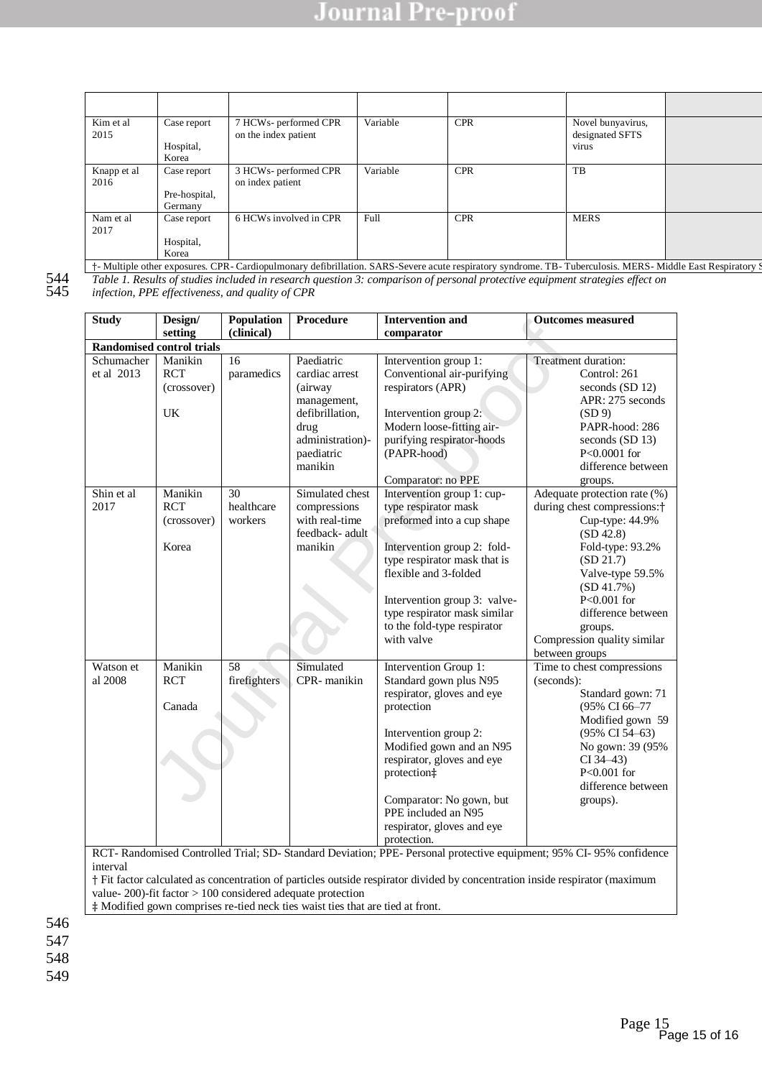| Kim et al.<br>2015  | Case report<br>Hospital,<br>Korea       | 7 HCWs- performed CPR<br>on the index patient                                                                                                            | Variable | <b>CPR</b> | Novel bunyavirus,<br>designated SFTS<br>virus |  |
|---------------------|-----------------------------------------|----------------------------------------------------------------------------------------------------------------------------------------------------------|----------|------------|-----------------------------------------------|--|
| Knapp et al<br>2016 | Case report<br>Pre-hospital,<br>Germany | 3 HCWs- performed CPR<br>on index patient                                                                                                                | Variable | <b>CPR</b> | TB                                            |  |
| Nam et al<br>2017   | Case report<br>Hospital,<br>Korea       | 6 HCWs involved in CPR                                                                                                                                   | Full     | <b>CPR</b> | <b>MERS</b>                                   |  |
|                     |                                         | † Multiple other exposures. CPR-Cardiopulmonary defibrillation. SARS-Severe acute respiratory syndrome. TB-Tuberculosis. MERS-Middle East Respiratory \$ |          |            |                                               |  |

544 *Table 1. Results of studies included in research question 3: comparison of personal protective equipment strategies effect on* 

545 *infection, PPE effectiveness, and quality of CPR*

Examely (chincal)<br>
Setting (chincal)<br>
The comparator<br>
(consover)<br>
Corresponding the Paccilatric Conservation and Dutcome<br>
Corresponding the Paccilatric Conservation and properator<br>
(consover)<br>
IK<br>
(EXECT be althous manifes **Study Design/ setting Population (clinical) Procedure Intervention and comparator Outcomes measured Randomised control trials**  Schumacher et al 2013 Manikin **RCT** (crossover) UK 16 paramedics Paediatric cardiac arrest (airway management, defibrillation, drug administration) paediatric manikin Intervention group 1: Conventional air-purifying respirators (APR) Intervention group 2: Modern loose-fitting airpurifying respirator-hoods (PAPR-hood) Comparator: no PPE Treatment duration: Control: 261 seconds (SD 12) APR: 275 seconds (SD 9) PAPR-hood: 286 seconds (SD 13) P<0.0001 for difference between groups. Shin et al 2017 Manikin RCT (crossover) Korea  $30$ healthcare workers Simulated chest compressions with real-time feedback- adult manikin Intervention group 1: cuptype respirator mask preformed into a cup shape Intervention group 2: foldtype respirator mask that is flexible and 3-folded Intervention group 3: valvetype respirator mask similar to the fold-type respirator with valve Adequate protection rate (%) during chest compressions:† Cup-type: 44.9% (SD 42.8) Fold-type: 93.2% (SD 21.7) Valve-type 59.5%  $(SD 41.7%)$ P<0.001 for difference between groups. Compression quality similar between groups Watson et al 2008 Manikin **RCT** Canada 58 firefighters Simulated CPR- manikin Intervention Group 1: Standard gown plus N95 respirator, gloves and eye protection Intervention group 2: Modified gown and an N95 respirator, gloves and eye protection‡ Comparator: No gown, but PPE included an N95 respirator, gloves and eye protection. Time to chest compressions (seconds): Standard gown: 71 (95% CI 66–77 Modified gown 59 (95% CI 54–63) No gown: 39 (95%  $CI$  34–43) P<0.001 for difference between groups). RCT- Randomised Controlled Trial; SD- Standard Deviation; PPE- Personal protective equipment; 95% CI- 95% confidence interval

† Fit factor calculated as concentration of particles outside respirator divided by concentration inside respirator (maximum value- 200)-fit factor > 100 considered adequate protection

‡ Modified gown comprises re-tied neck ties waist ties that are tied at front.

546

547

548

549